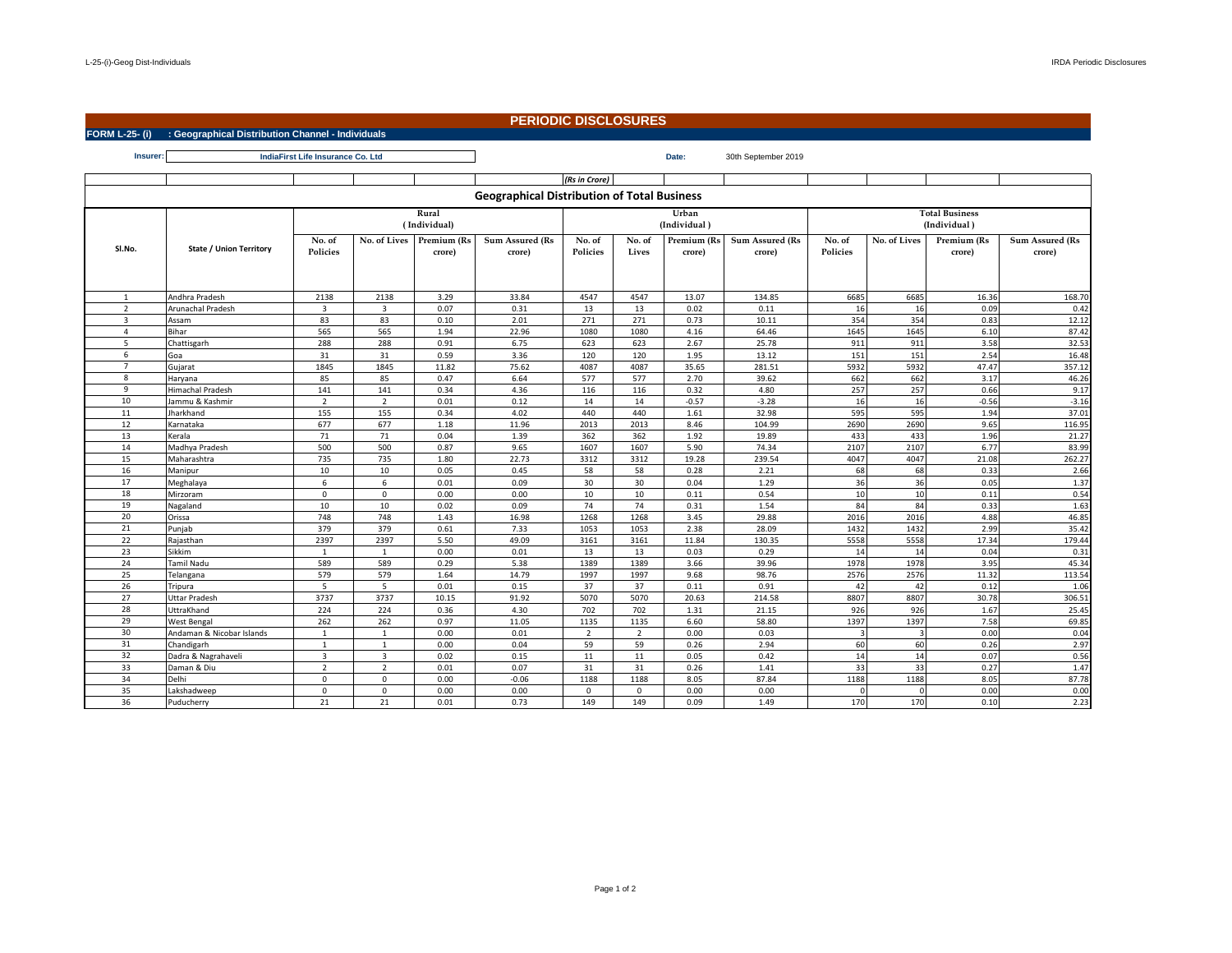$\mathsf{r}$ 

## **PERIODIC DISCLOSURES**

## **FORM L-25- (i) : Geographical Distribution Channel - Individuals**

**Insurer: Date:** 30th September 2019 **IndiaFirst Life Insurance Co. Ltd**

|                                                    |                                                                                                                                                                               |                           |                         |                       |                           | (Rs in Crore)             |                 |                       |                           |                                       |              |                       |                           |  |
|----------------------------------------------------|-------------------------------------------------------------------------------------------------------------------------------------------------------------------------------|---------------------------|-------------------------|-----------------------|---------------------------|---------------------------|-----------------|-----------------------|---------------------------|---------------------------------------|--------------|-----------------------|---------------------------|--|
| <b>Geographical Distribution of Total Business</b> |                                                                                                                                                                               |                           |                         |                       |                           |                           |                 |                       |                           |                                       |              |                       |                           |  |
|                                                    | Rural<br>(Individual)                                                                                                                                                         |                           |                         |                       |                           |                           |                 | Urban<br>(Individual) |                           | <b>Total Business</b><br>(Individual) |              |                       |                           |  |
| SI.No.                                             | State / Union Territory                                                                                                                                                       | No. of<br><b>Policies</b> | No. of Lives            | Premium (Rs<br>crore) | Sum Assured (Rs<br>crore) | No. of<br><b>Policies</b> | No. of<br>Lives | Premium (Rs<br>crore) | Sum Assured (Rs<br>crore) | No. of<br>Policies                    | No. of Lives | Premium (Rs<br>crore) | Sum Assured (Rs<br>crore) |  |
| 1                                                  | Andhra Pradesh                                                                                                                                                                | 2138                      | 2138                    | 3.29                  | 33.84                     | 4547                      | 4547            | 13.07                 | 134.85                    | 6685                                  | 6685         | 16.36                 | 168.70                    |  |
| $\overline{2}$                                     | Arunachal Pradesh                                                                                                                                                             | $\overline{3}$            | $\overline{\mathbf{3}}$ | 0.07                  | 0.31                      | 13                        | 13              | 0.02                  | 0.11                      | 16                                    | 16           | 0.09                  | 0.42                      |  |
| $\overline{3}$                                     | Assam                                                                                                                                                                         | 83                        | 83                      | 0.10                  | 2.01                      | 271                       | 271             | 0.73                  | 10.11                     | 354                                   | 354          | 0.83                  | 12.12                     |  |
| 4                                                  | Bihar                                                                                                                                                                         | 565                       | 565                     | 1.94                  | 22.96                     | 1080                      | 1080            | 4.16                  | 64.46                     | 1645                                  | 1645         | 6.10                  | 87.42                     |  |
| 5                                                  | Chattisgarh                                                                                                                                                                   | 288                       | 288                     | 0.91                  | 6.75                      | 623                       | 623             | 2.67                  | 25.78                     | 911                                   | 911          | 3.58                  | 32.53                     |  |
| 6                                                  | Goa                                                                                                                                                                           | 31                        | 31                      | 0.59                  | 3.36                      | 120                       | 120             | 1.95                  | 13.12                     | 151                                   | 151          | 2.54                  | 16.48                     |  |
| $\overline{7}$                                     | Gujarat                                                                                                                                                                       | 1845                      | 1845                    | 11.82                 | 75.62                     | 4087                      | 4087            | 35.65                 | 281.51                    | 5932                                  | 5932         | 47.47                 | 357.12                    |  |
| 8                                                  | <b>Haryana</b>                                                                                                                                                                | 85                        | 85                      | 0.47                  | 6.64                      | 577                       | 577             | 2.70                  | 39.62                     | 662                                   | 662          | 3.17                  | 46.26                     |  |
| 9                                                  | <b>Himachal Pradesh</b>                                                                                                                                                       | 141                       | 141                     | 0.34                  | 4.36                      | 116                       | 116             | 0.32                  | 4.80                      | 257                                   | 257          | 0.66                  | 9.17                      |  |
| 10                                                 | Jammu & Kashmir                                                                                                                                                               | $\overline{2}$            | $\overline{2}$          | 0.01                  | 0.12                      | 14                        | 14              | $-0.57$               | $-3.28$                   | 16                                    | 16           | $-0.56$               | $-3.16$                   |  |
| 11                                                 | Jharkhand                                                                                                                                                                     | 155                       | 155                     | 0.34                  | 4.02                      | 440                       | 440             | 1.61                  | 32.98                     | 595                                   | 595          | 1.94                  | 37.01                     |  |
| 12                                                 | Karnataka                                                                                                                                                                     | 677                       | 677                     | 1.18                  | 11.96                     | 2013                      | 2013            | 8.46                  | 104.99                    | 2690                                  | 2690         | 9.65                  | 116.95                    |  |
| 13                                                 | <erala< td=""><td>71</td><td>71</td><td>0.04</td><td>1.39</td><td>362</td><td>362</td><td>1.92</td><td>19.89</td><td>433</td><td>433</td><td>1.96</td><td>21.27</td></erala<> | 71                        | 71                      | 0.04                  | 1.39                      | 362                       | 362             | 1.92                  | 19.89                     | 433                                   | 433          | 1.96                  | 21.27                     |  |
| 14                                                 | Madhya Pradesh                                                                                                                                                                | 500                       | 500                     | 0.87                  | 9.65                      | 1607                      | 1607            | 5.90                  | 74.34                     | 2107                                  | 2107         | 6.77                  | 83.99                     |  |
| 15                                                 | Maharashtra                                                                                                                                                                   | 735                       | 735                     | 1.80                  | 22.73                     | 3312                      | 3312            | 19.28                 | 239.54                    | 4047                                  | 4047         | 21.08                 | 262.27                    |  |
| 16                                                 | Manipur                                                                                                                                                                       | 10                        | 10                      | 0.05                  | 0.45                      | 58                        | 58              | 0.28                  | 2.21                      | 68                                    | 68           | 0.33                  | 2.66                      |  |
| 17                                                 | Meghalaya                                                                                                                                                                     | 6                         | 6                       | 0.01                  | 0.09                      | 30                        | 30              | 0.04                  | 1.29                      | 36                                    | 36           | 0.05                  | 1.37                      |  |
| 18                                                 | Mirzoram                                                                                                                                                                      | $\mathbf{0}$              | $\mathbf 0$             | 0.00                  | 0.00                      | 10                        | 10              | 0.11                  | 0.54                      | 10                                    | 10           | 0.11                  | 0.54                      |  |
| 19                                                 | Nagaland                                                                                                                                                                      | 10                        | 10                      | 0.02                  | 0.09                      | 74                        | 74              | 0.31                  | 1.54                      | 84                                    | 84           | 0.33                  | 1.63                      |  |
| 20                                                 | Orissa                                                                                                                                                                        | 748                       | 748                     | 1.43                  | 16.98                     | 1268                      | 1268            | 3.45                  | 29.88                     | 2016                                  | 2016         | 4.88                  | 46.85                     |  |
| 21                                                 | Punjab                                                                                                                                                                        | 379                       | 379                     | 0.61                  | 7.33                      | 1053                      | 1053            | 2.38                  | 28.09                     | 1432                                  | 1432         | 2.99                  | 35.42                     |  |
| 22                                                 | Rajasthan                                                                                                                                                                     | 2397                      | 2397                    | 5.50                  | 49.09                     | 3161                      | 3161            | 11.84                 | 130.35                    | 5558                                  | 5558         | 17.34                 | 179.44                    |  |
| 23                                                 | <b>Sikkim</b>                                                                                                                                                                 | $\mathbf{1}$              | $\mathbf{1}$            | 0.00                  | 0.01                      | 13                        | 13              | 0.03                  | 0.29                      | 14                                    | 14           | 0.04                  | 0.31                      |  |
| 24                                                 | Tamil Nadu                                                                                                                                                                    | 589                       | 589                     | 0.29                  | 5.38                      | 1389                      | 1389            | 3.66                  | 39.96                     | 1978                                  | 1978         | 3.95                  | 45.34                     |  |
| 25                                                 | Telangana                                                                                                                                                                     | 579                       | 579                     | 1.64                  | 14.79                     | 1997                      | 1997            | 9.68                  | 98.76                     | 2576                                  | 2576         | 11.32                 | 113.54                    |  |
| 26                                                 | Tripura                                                                                                                                                                       | 5                         | 5                       | 0.01                  | 0.15                      | 37                        | 37              | 0.11                  | 0.91                      | 42                                    | 42           | 0.12                  | 1.06                      |  |
| 27                                                 | Uttar Pradesh                                                                                                                                                                 | 3737                      | 3737                    | 10.15                 | 91.92                     | 5070                      | 5070            | 20.63                 | 214.58                    | 8807                                  | 8807         | 30.78                 | 306.51                    |  |
| 28                                                 | UttraKhand                                                                                                                                                                    | 224                       | 224                     | 0.36                  | 4.30                      | 702                       | 702             | 1.31                  | 21.15                     | 926                                   | 926          | 1.67                  | 25.45                     |  |
| 29                                                 | <b>West Bengal</b>                                                                                                                                                            | 262                       | 262                     | 0.97                  | 11.05                     | 1135                      | 1135            | 6.60                  | 58.80                     | 1397                                  | 1397         | 7.58                  | 69.85                     |  |
| 30                                                 | Andaman & Nicobar Islands                                                                                                                                                     | $\mathbf{1}$              | $\mathbf{1}$            | 0.00                  | 0.01                      | $\overline{2}$            | $\overline{2}$  | 0.00                  | 0.03                      | $\overline{\mathbf{a}}$               |              | 0.00                  | 0.04                      |  |
| 31                                                 | Chandigarh                                                                                                                                                                    | $\overline{1}$            | $\mathbf{1}$            | 0.00                  | 0.04                      | 59                        | 59              | 0.26                  | 2.94                      | 60                                    | 60           | 0.26                  | 2.97                      |  |
| 32                                                 | Dadra & Nagrahaveli                                                                                                                                                           | $\overline{\mathbf{3}}$   | $\overline{3}$          | 0.02                  | 0.15                      | 11                        | 11              | 0.05                  | 0.42                      | 14                                    | 14           | 0.07                  | 0.56                      |  |
| 33                                                 | Daman & Diu                                                                                                                                                                   | $\overline{2}$            | $\overline{2}$          | 0.01                  | 0.07                      | 31                        | 31              | 0.26                  | 1.41                      | 33                                    | 33           | 0.27                  | 1.47                      |  |
| 34                                                 | Delhi                                                                                                                                                                         | $\mathbf 0$               | $\mathbf 0$             | 0.00                  | $-0.06$                   | 1188                      | 1188            | 8.05                  | 87.84                     | 1188                                  | 1188         | 8.05                  | 87.78                     |  |
| 35                                                 | Lakshadweep                                                                                                                                                                   | $\mathbf 0$               | $\mathsf 0$             | 0.00                  | 0.00                      | $\mathbf 0$               | $\mathbf 0$     | 0.00                  | 0.00                      | $\Omega$                              |              | 0.00                  | 0.00                      |  |
| 36                                                 | Puducherry                                                                                                                                                                    | 21                        | 21                      | 0.01                  | 0.73                      | 149                       | 149             | 0.09                  | 1.49                      | 170                                   | 170          | 0.10                  | 2.23                      |  |